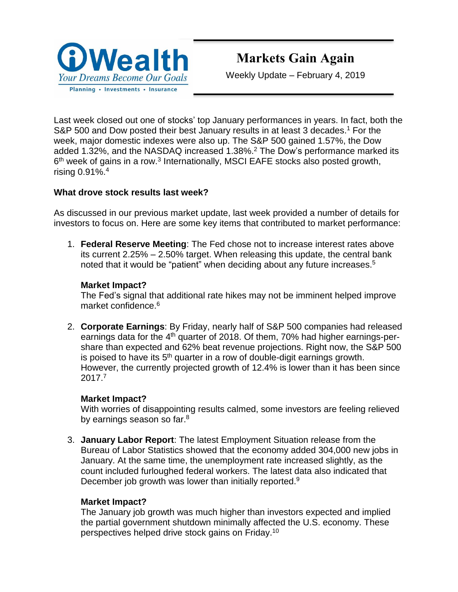

# **Markets Gain Again**

Weekly Update – February 4, 2019

Last week closed out one of stocks' top January performances in years. In fact, both the S&P 500 and Dow posted their best January results in at least 3 decades.<sup>1</sup> For the week, major domestic indexes were also up. The S&P 500 gained 1.57%, the Dow added 1.32%, and the NASDAQ increased 1.38%. <sup>2</sup> The Dow's performance marked its 6<sup>th</sup> week of gains in a row.<sup>3</sup> Internationally, MSCI EAFE stocks also posted growth, rising 0.91%. 4

## **What drove stock results last week?**

As discussed in our previous market update, last week provided a number of details for investors to focus on. Here are some key items that contributed to market performance:

1. **Federal Reserve Meeting**: The Fed chose not to increase interest rates above its current 2.25% – 2.50% target. When releasing this update, the central bank noted that it would be "patient" when deciding about any future increases.<sup>5</sup>

#### **Market Impact?**

The Fed's signal that additional rate hikes may not be imminent helped improve market confidence.<sup>6</sup>

2. **Corporate Earnings**: By Friday, nearly half of S&P 500 companies had released earnings data for the 4<sup>th</sup> quarter of 2018. Of them, 70% had higher earnings-pershare than expected and 62% beat revenue projections. Right now, the S&P 500 is poised to have its  $5<sup>th</sup>$  quarter in a row of double-digit earnings growth. However, the currently projected growth of 12.4% is lower than it has been since 2017.<sup>7</sup>

#### **Market Impact?**

With worries of disappointing results calmed, some investors are feeling relieved by earnings season so far.<sup>8</sup>

3. **January Labor Report**: The latest Employment Situation release from the Bureau of Labor Statistics showed that the economy added 304,000 new jobs in January. At the same time, the unemployment rate increased slightly, as the count included furloughed federal workers. The latest data also indicated that December job growth was lower than initially reported.<sup>9</sup>

## **Market Impact?**

The January job growth was much higher than investors expected and implied the partial government shutdown minimally affected the U.S. economy. These perspectives helped drive stock gains on Friday.<sup>10</sup>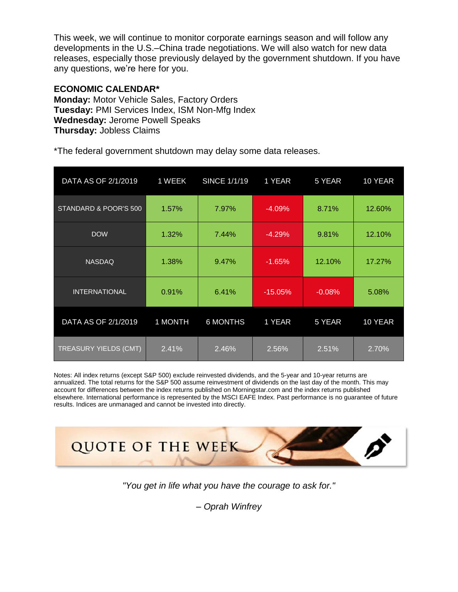This week, we will continue to monitor corporate earnings season and will follow any developments in the U.S.–China trade negotiations. We will also watch for new data releases, especially those previously delayed by the government shutdown. If you have any questions, we're here for you.

#### **ECONOMIC CALENDAR\***

**Monday:** Motor Vehicle Sales, Factory Orders **Tuesday:** PMI Services Index, ISM Non-Mfg Index **Wednesday:** Jerome Powell Speaks **Thursday:** Jobless Claims

\*The federal government shutdown may delay some data releases.

| DATA AS OF 2/1/2019   | 1 WEEK  | <b>SINCE 1/1/19</b> | 1 YEAR    | 5 YEAR   | 10 YEAR |
|-----------------------|---------|---------------------|-----------|----------|---------|
| STANDARD & POOR'S 500 | 1.57%   | 7.97%               | $-4.09%$  | 8.71%    | 12.60%  |
| <b>DOW</b>            | 1.32%   | 7.44%               | $-4.29%$  | 9.81%    | 12.10%  |
| <b>NASDAQ</b>         | 1.38%   | 9.47%               | $-1.65%$  | 12.10%   | 17.27%  |
| <b>INTERNATIONAL</b>  | 0.91%   | 6.41%               | $-15.05%$ | $-0.08%$ | 5.08%   |
| DATA AS OF 2/1/2019   | 1 MONTH | <b>6 MONTHS</b>     | 1 YEAR    | 5 YEAR   | 10 YEAR |
| TREASURY YIELDS (CMT) | 2.41%   | 2.46%               | 2.56%     | 2.51%    | 2.70%   |

Notes: All index returns (except S&P 500) exclude reinvested dividends, and the 5-year and 10-year returns are annualized. The total returns for the S&P 500 assume reinvestment of dividends on the last day of the month. This may account for differences between the index returns published on [Morningstar.com](http://morningstar.com/) and the index returns published elsewhere. International performance is represented by the MSCI EAFE Index. Past performance is no guarantee of future results. Indices are unmanaged and cannot be invested into directly.



*"You get in life what you have the courage to ask for."*

*– Oprah Winfrey*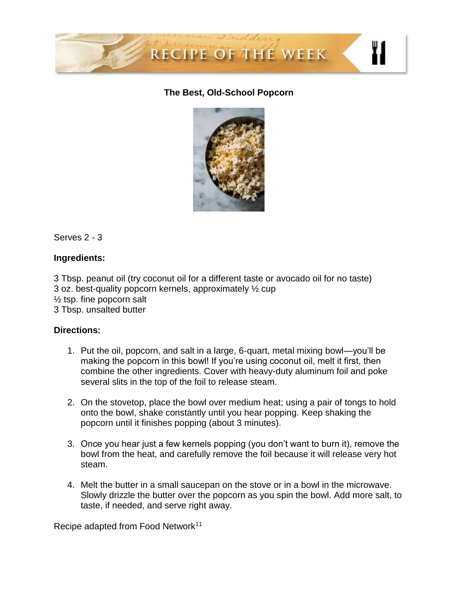

## **The Best, Old-School Popcorn**



Serves 2 - 3

## **Ingredients:**

3 Tbsp. peanut oil (try coconut oil for a different taste or avocado oil for no taste) 3 oz. best-quality popcorn kernels, approximately ½ cup  $\frac{1}{2}$  tsp. fine popcorn salt 3 Tbsp. unsalted butter

#### **Directions:**

- 1. Put the oil, popcorn, and salt in a large, 6-quart, metal mixing bowl—you'll be making the popcorn in this bowl! If you're using coconut oil, melt it first, then combine the other ingredients. Cover with heavy-duty aluminum foil and poke several slits in the top of the foil to release steam.
- 2. On the stovetop, place the bowl over medium heat; using a pair of tongs to hold onto the bowl, shake constantly until you hear popping. Keep shaking the popcorn until it finishes popping (about 3 minutes).
- 3. Once you hear just a few kernels popping (you don't want to burn it), remove the bowl from the heat, and carefully remove the foil because it will release very hot steam.
- 4. Melt the butter in a small saucepan on the stove or in a bowl in the microwave. Slowly drizzle the butter over the popcorn as you spin the bowl. Add more salt, to taste, if needed, and serve right away.

Recipe adapted from Food Network<sup>11</sup>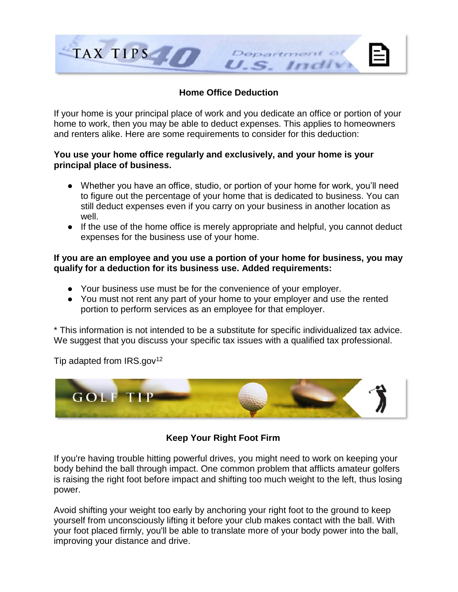

## **Home Office Deduction**

If your home is your principal place of work and you dedicate an office or portion of your home to work, then you may be able to deduct expenses. This applies to homeowners and renters alike. Here are some requirements to consider for this deduction:

### **You use your home office regularly and exclusively, and your home is your principal place of business.**

- Whether you have an office, studio, or portion of your home for work, you'll need to figure out the percentage of your home that is dedicated to business. You can still deduct expenses even if you carry on your business in another location as well.
- If the use of the home office is merely appropriate and helpful, you cannot deduct expenses for the business use of your home.

#### **If you are an employee and you use a portion of your home for business, you may qualify for a deduction for its business use. Added requirements:**

- Your business use must be for the convenience of your employer.
- You must not rent any part of your home to your employer and use the rented portion to perform services as an employee for that employer.

\* This information is not intended to be a substitute for specific individualized tax advice. We suggest that you discuss your specific tax issues with a qualified tax professional.

Tip adapted from  $IRS.gov^{12}$ 



## **Keep Your Right Foot Firm**

If you're having trouble hitting powerful drives, you might need to work on keeping your body behind the ball through impact. One common problem that afflicts amateur golfers is raising the right foot before impact and shifting too much weight to the left, thus losing power.

Avoid shifting your weight too early by anchoring your right foot to the ground to keep yourself from unconsciously lifting it before your club makes contact with the ball. With your foot placed firmly, you'll be able to translate more of your body power into the ball, improving your distance and drive.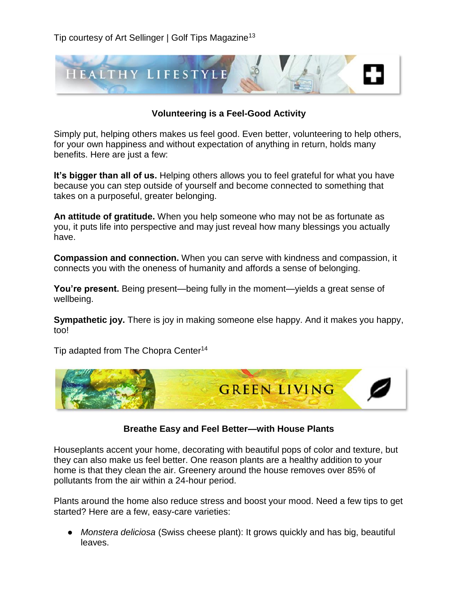Tip courtesy of Art Sellinger | Golf Tips Magazine<sup>13</sup>



## **Volunteering is a Feel-Good Activity**

Simply put, helping others makes us feel good. Even better, volunteering to help others, for your own happiness and without expectation of anything in return, holds many benefits. Here are just a few:

**It's bigger than all of us.** Helping others allows you to feel grateful for what you have because you can step outside of yourself and become connected to something that takes on a purposeful, greater belonging.

**An attitude of gratitude.** When you help someone who may not be as fortunate as you, it puts life into perspective and may just reveal how many blessings you actually have.

**Compassion and connection.** When you can serve with kindness and compassion, it connects you with the oneness of humanity and affords a sense of belonging.

**You're present.** Being present—being fully in the moment—yields a great sense of wellbeing.

**Sympathetic joy.** There is joy in making someone else happy. And it makes you happy, too!

Tip adapted from The Chopra Center<sup>14</sup>



#### **Breathe Easy and Feel Better—with House Plants**

Houseplants accent your home, decorating with beautiful pops of color and texture, but they can also make us feel better. One reason plants are a healthy addition to your home is that they clean the air. Greenery around the house removes over 85% of pollutants from the air within a 24-hour period.

Plants around the home also reduce stress and boost your mood. Need a few tips to get started? Here are a few, easy-care varieties:

● *Monstera deliciosa* (Swiss cheese plant): It grows quickly and has big, beautiful leaves.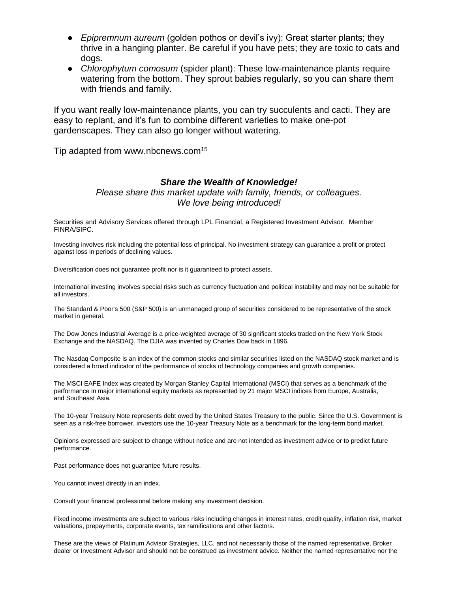- *Epipremnum aureum* (golden pothos or devil's ivy): Great starter plants; they thrive in a hanging planter. Be careful if you have pets; they are toxic to cats and dogs.
- *Chlorophytum comosum* (spider plant): These low-maintenance plants require watering from the bottom. They sprout babies regularly, so you can share them with friends and family.

If you want really low-maintenance plants, you can try succulents and cacti. They are easy to replant, and it's fun to combine different varieties to make one-pot gardenscapes. They can also go longer without watering.

Tip adapted from www.nbcnews.com<sup>15</sup>

#### *Share the Wealth of Knowledge!*

*Please share this market update with family, friends, or colleagues. We love being introduced!*

Securities and Advisory Services offered through LPL Financial, a Registered Investment Advisor. Member FINRA/SIPC.

Investing involves risk including the potential loss of principal. No investment strategy can guarantee a profit or protect against loss in periods of declining values.

Diversification does not guarantee profit nor is it guaranteed to protect assets.

International investing involves special risks such as currency fluctuation and political instability and may not be suitable for all investors.

The Standard & Poor's 500 (S&P 500) is an unmanaged group of securities considered to be representative of the stock market in general.

The Dow Jones Industrial Average is a price-weighted average of 30 significant stocks traded on the New York Stock Exchange and the NASDAQ. The DJIA was invented by Charles Dow back in 1896.

The Nasdaq Composite is an index of the common stocks and similar securities listed on the NASDAQ stock market and is considered a broad indicator of the performance of stocks of technology companies and growth companies.

The MSCI EAFE Index was created by Morgan Stanley Capital International (MSCI) that serves as a benchmark of the performance in major international equity markets as represented by 21 major MSCI indices from Europe, Australia, and Southeast Asia.

The 10-year Treasury Note represents debt owed by the United States Treasury to the public. Since the U.S. Government is seen as a risk-free borrower, investors use the 10-year Treasury Note as a benchmark for the long-term bond market.

Opinions expressed are subject to change without notice and are not intended as investment advice or to predict future performance.

Past performance does not guarantee future results.

You cannot invest directly in an index.

Consult your financial professional before making any investment decision.

Fixed income investments are subject to various risks including changes in interest rates, credit quality, inflation risk, market valuations, prepayments, corporate events, tax ramifications and other factors.

These are the views of Platinum Advisor Strategies, LLC, and not necessarily those of the named representative, Broker dealer or Investment Advisor and should not be construed as investment advice. Neither the named representative nor the